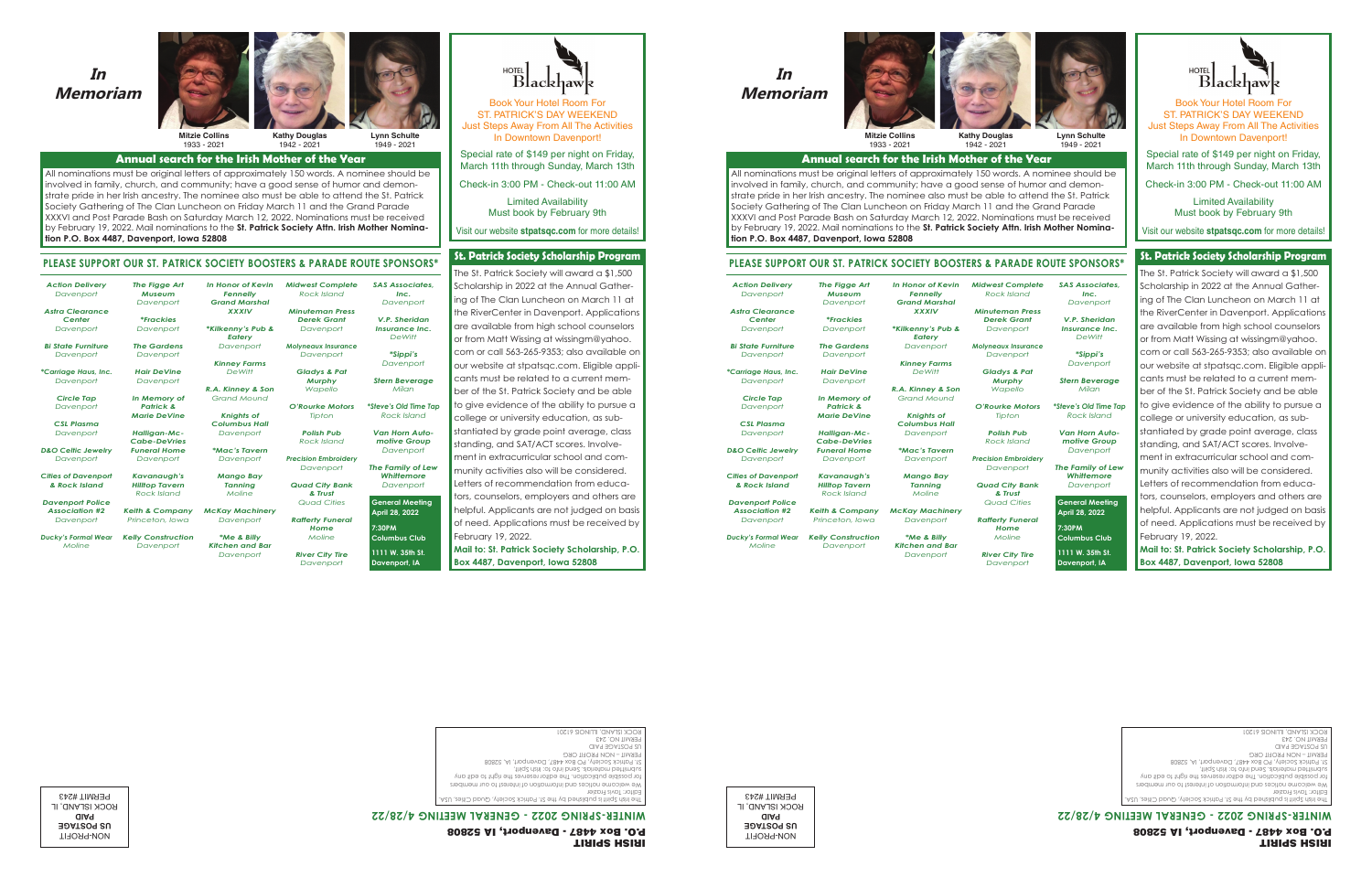### **In Memoriam In Memoriam**



1933 - 2021 **Mitzie Collins**

1942 - 2021 **Kathy Douglas**

*Midwest Complete Rock Island*

*Davenport* Gladys & Pat *Murphy Wapello Gladys & Pat O'Rourke Motors Murphy Tipton*  $Polish Pub$ *Rock Island Precision Embroidery Polish Pub Davenport Quad City Bank Precision Embroidery Davenport & Trust*  $Quad Cities$ *Rafferty Funeral & Trust Home Moline*

purke M<mark>c</mark>

*Tipton*

*Rock Island*

*Quad Cities Reference* 



**Lynn Schulte** 1949 - 2021 **Lynn Schulte**

## Annual search for the Irish Mother of the Year

All nominations must be original letters of approximately 150 words. A nominee should be **Annual search for the Irish Mother of the Year** involved in family, church, and community; have a good sense of humor and demonstrate pride in her Irish ancestry. The nominee also must be able to attend the St. Patrick Society Gathering of The Clan Luncheon on Friday March 11 and the Grand Parade XXXVI and Post Parade Bash on Saturday March 12, 2022. Nominations must be received by February 19, 2022. Mail nominations to the **St. Patrick Society Attn. Irish Mother Nomina-**<br>... **tion P.O. Box 4487, Davenport, Iowa 52808** 

### *In Honor of Kevin*  **PLEASE SUPPORT OUR ST. PATRICK SOCIETY BOOSTERS & PARADE ROUTE SPONSORS\* tion P.O. Box 4487, Davenport, Iowa 52808**

*Fennelly Grand Marshal XXXIV Fennelly \*Kilkenny's Pub & XXXIV Eatery Davenport* 

*Action Delivery Davenport* **PLEASE SUPPORT OUR ST. PATRICK SOCIETY BOOSTERS & PARADE ROUTE SPONSORS\***

*Astra Clearance Davenport Center Action Delivery*

*Davenport* 

*Bi State Furniture Davenport*

*\*Carriage Haus, Inc. Davenport Davenport*

*Circle Tap \*Carriage Haus, Inc. Davenport Davenport*

> *CSL Plasma Circle Tap Davenport* CSL Plasma

*D&O Celtic Jewelry CSL Plasma Davenport D* Celfic Jew

*Cities of Davenport D&O Celtic Jewelry Davenport & Rock Island*

*Davenport Police Association #2 & Rock Island*

*Davenport Davenport Police Ducky's Formal Wear Association #2*

*Moline Davenport*

*The Figge Art Museum Davenport The Figge Art \*Frackies Davenport Davenport*

*The Gardens Davenport Davenport*

*Hair DeVine Davenport Davenport In Memory of Hair DeVine Kinney Farms Davenport DeWitt R.A. Kinney & Son DeWitt*

*Patrick & Grand Mound*  $Knights$  of *Columbus Hall Demory* <mark>c</mark> Knights of

*Davenport Knights of \*Mac's Tavern Columbus Hall*

*McKay Machinery Tanning Davenport Moline*

 $*$ **Me & Billy** *Kitchen and Bar Davenport*

*Davenport*

*\*Me & Billy* 

*River City Tire Home Davenport Moline*

*Minuteman Press Rock Island Derek Grant Davenport Minuteman Press Molyneaux Insurance Davenport Inc.*  $D$ avenport *V.P. Sheridan Insurance Inc.*  $DeWitt$ *\*Sippi's DeWittDavenport*

> *Stern Beverage \*Sippi's Milan* <mark>ern Bevera</mark>g

*SAS Associates,* 

*\*Steve's Old Time Tap Stern Beverage Rock Island Van Horn Auto-\*Steve's Old Time Tap Rock Island Milan*

*motive Group*  $D$ avenport *The Family of Lew motive Group*

*Whittemore*  $D$ avenport *Davenport*

**General Meeting**  *Whittemore* **April 28, 2022** *Davenport*

**7:30PM General Meeting Columbus Club April 28, 2022 1111 W. 35th St. 7:30PM** Davenport, IA



Book Your Hotel Room For ST. PATRICK'S DAY WEEKEND Just Steps Away From All The Activities In Downtown Davenport!

Special rate of \$149 per night on Friday, March 11th through Sunday, March 13th

Check-in 3:00 PM - Check-out 11:00 AM

Limited Availability Must book by February 9th

Visit our website **stpatsqc.com** for more details!

### **St. Patrick Society Scholarship Program** Visit our website **stpatsqc.com** for more details!

The St. Patrick Society will award a \$1,500 **St. Patrick Society Scholarship Program** Scholarship in 2022 at the Annual Gathering of The Clan Luncheon on March 11 at the RiverCenter in Davenport. Applications are available from high school counselors or from Matt Wissing at wissingm@yahoo. com or call 563-265-9353; also available on our website at stpatsqc.com. Eligible applicants must be related to a current memcams most be related to a conem mem-<br>ber of the St. Patrick Society and be able ber of the st. I alliek society and be able<br>to give evidence of the ability to pursue a to give enablise of the down, to persoo defined stantiated by grade point average, class standing, and SAT/ACT scores. Involvement in extracurricular school and community activities also will be considered. Letters of recommendation from educators, counselors, employers and others are helpful. Applicants are not judged on basis of need. Applications must be received by February 19, 2022.

Mail to: St. Patrick Society Scholarship, P.O. Box 4487, Davenport, Iowa 52808 **Mail to: St. Patrick Society Scholarship, P.O.** 

thiq? dail :ot otni bne? .albinetom bettimdus. Editor: Tavis Frazier St. Patrick Society, PO Box 4487, Davenport, IA, 52808 We welcome notices and information of interest to our members PERMIT – NON PROFIT ORG for possible publication. The editor reserves the right to edit any US POSTAGE PAID submitted materials. Send info to: Irish Spirit, PERMIT NO. 243 St. Patrick Society, PO Box 4487, Davenport, IA, 52808 PERMIT – NON PROFIT ORG ROCK ISLAND, ILLINOIS 61201 P.O. Box 4487 - Davenport, IA 52808 Non-Profit Org. The Irish Spirit is published by the St. Patrick Society, Quad Cities, USA. we welcome notices and the usitomation of the and our members are an analysis of  $\mathbb{R}^N$ Editor: Tavis Frazier for possible publication. The editor reserves the right to edit any

# IRISH SPIRIT **WINTER-SPRING 2022 - GENERAL MEETING 4/28/22** P.O. Box 4487 - Davenport, IA 52808

IRISH SPIRIT

PERMIT #243 U.S. POSTAGE **US POSTAGE** PAID **PAID** Permit No.243 ROCK ISLAND, IL NON-PROFIT

PAID

61201

*Marie DeVine In Memory of Halligan-Mc-Patrick & Cabe-DeVries Funeral Home Halligan-Mc-Davenport Cabe-DeVries Kavanaugh's Funeral Home Hilltop Tavern Rock Island Kavanaugh's Keith & Company Hilltop Tavern Princeton, Iowa Rock Island Kelly Construction Keith & Company Marie DeVine* avanaugn<br>'''

*Davenport Princeton, Iowa*

*Davenport Mango Bay \*Mac's Tavern Tanning Davenport Davenport*

*Moline Mango Bay*